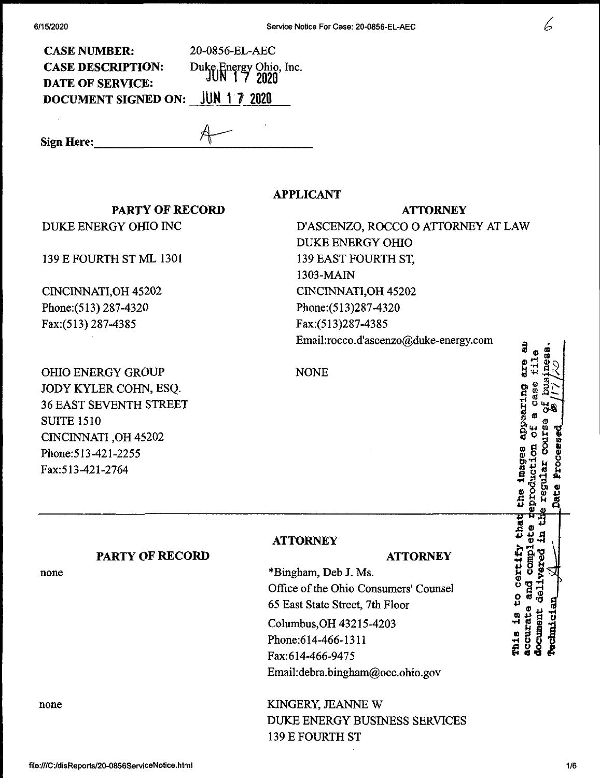| ۰.<br>۰.<br>۰.<br>I |  |
|---------------------|--|

Of ®

**a ® ® g 1 n g g 2**

er.

that

COMO

**COULDSRIP** 

his is to certify

| <b>CASE NUMBER:</b>              | 20-0856-EL-AEC                        |
|----------------------------------|---------------------------------------|
| <b>CASE DESCRIPTION:</b>         | Duke Energy Ohio, Inc.<br>JUN 17 2020 |
| <b>DATE OF SERVICE:</b>          |                                       |
| DOCUMENT SIGNED ON: JUN 1 7 2020 |                                       |

**Sign Here:,**

**APPLICANT**

## **PARTY OF RECORD**

DUKE ENERGY OHIO INC

139 E FOURTH ST ML 1301

CINCINNATI,OH 45202 Phone;(513) 287-4320 Fax:(513) 287-4385

OHIO ENERGY GROUP JODY KYLER COHN, ESQ. 36 EAST SEVENTH STREET SUITE 1510 CINCINNATI ,OH 45202 Phone:513-421-2255 Fax:513^21-2764

**ATTORNEY** D'ASCENZO, ROCCO O ATTORNEY AT LAW DUKE ENERGY OHIO 139 EAST FOURTH ST, 1303-MAIN CINCINNATI,OH 45202 Phone:(513)287-4320 Fax:(513)287-4385 *Email:rocco.d'ascenzo@duke-energy.com "* ® ® 2

NONE

**ATTORNEY** 

## **PARTY OF RECORD**

none

none

## **ATTORNEY**

\*Bingham, Deb J. Ms. Office of the Ohio Consumers' Counsel 65 East State Street, 7th Floor Columbus,OH 43215-4203 Phone:614-466-1311 Fax:614-466-9475 Email:debra.bingham@occ.ohio.gov

KINGERY, JEANNE W DUKE ENERGY BUSINESS SERVICES 139 E FOURTH ST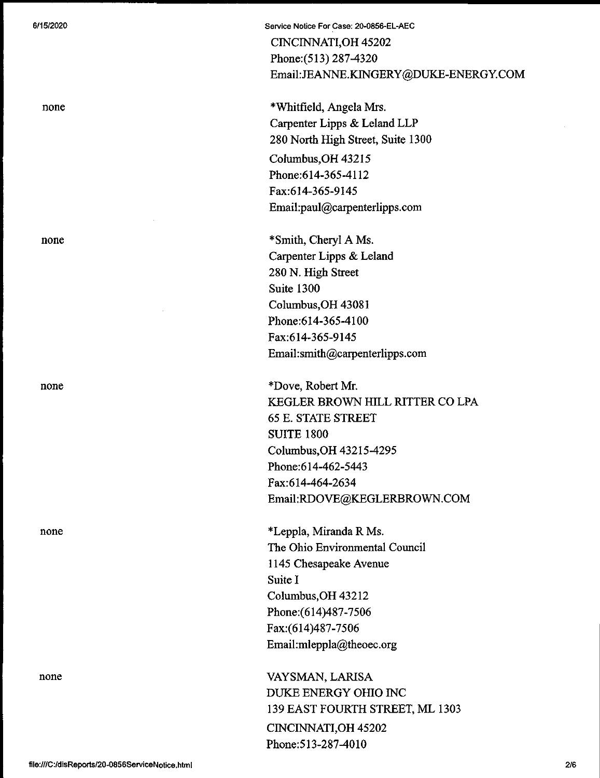none

none

none

none

none

Service Notice For Case: 20>0856-EL-AEC CINCINNATI,OH 45202 Phone:(513) 287-4320 Email:JEANNE.KINGERY@DUKE-ENERGY.COM

\*Whitfield, Angela Mrs. Carpenter Lipps & Leland LLP 280 North High Street, Suite 1300 Columbus, OH 43215 Phone;614-365-4112 Fax:614-365-9145

Email:paul@carpenterlipps.com

\*Smith, Cheryl A Ms. Carpenter Lipps & Leland 280 N. High Street Suite 1300 Columbus,OH 43081 Phone:614-365-4100 Fax:614-365-9145 Email:smith@carpenterlipps.com

\*Dove, Robert Mr. KEGLER BROWN HILL RITTER CO LPA 65 E. STATE STREET SUITE 1800 Columbus,OH 43215-4295 Phone:614-462-5443 Fax:614-464-2634 Email:RDOVE@KEGLERBROWN.COM

\*Leppla, Miranda R Ms. The Ohio Environmental Council 1145 Chesapeake Avenue Suite I Columbus,OH 43212 Phone:(614)487-7506 Fax:(614)487-7506 Email:mleppla@theoec.org

VAYSMAN, LARISA DUKE ENERGY OHIO INC 139 EAST FOURTH STREET, ML 1303 CINCINNATI,OH 45202 Phone:513-287-4010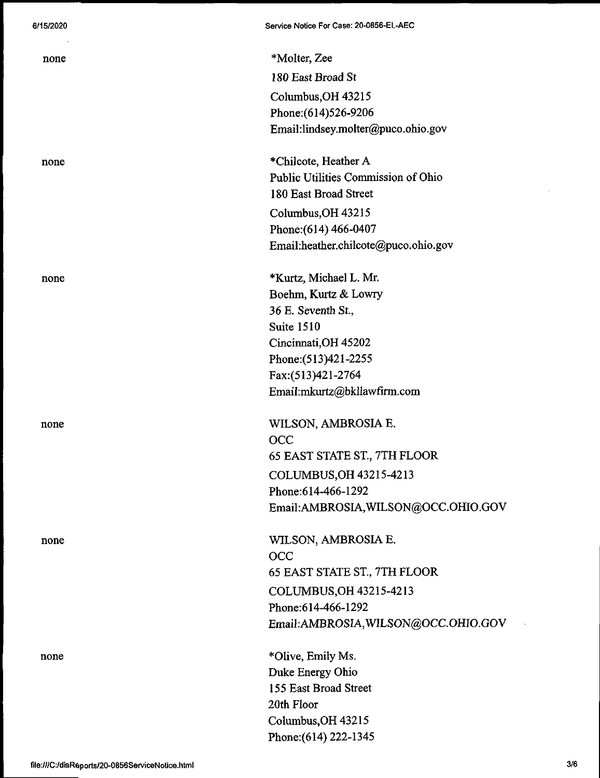| none | *Molter, Zee                         |
|------|--------------------------------------|
|      | 180 East Broad St                    |
|      | Columbus, OH 43215                   |
|      | Phone: (614) 526-9206                |
|      | Email:lindsey.molter@puco.ohio.gov   |
| none | *Chilcote, Heather A                 |
|      | Public Utilities Commission of Ohio  |
|      | 180 East Broad Street                |
|      | Columbus, OH 43215                   |
|      | Phone: (614) 466-0407                |
|      | Email:heather.chilcote@puco.ohio.gov |
| none | *Kurtz, Michael L. Mr.               |
|      | Boehm, Kurtz & Lowry                 |
|      | 36 E. Seventh St.,                   |
|      | Suite 1510                           |
|      | Cincinnati, OH 45202                 |
|      | Phone: (513)421-2255                 |
|      | Fax:(513)421-2764                    |
|      | Email:mkurtz@bkllawfirm.com          |
| none | WILSON, AMBROSIA E.                  |
|      | <b>OCC</b>                           |
|      | 65 EAST STATE ST., 7TH FLOOR         |
|      | COLUMBUS, OH 43215-4213              |
|      | Phone: 614-466-1292                  |
|      | Email:AMBROSIA, WILSON@OCC.OHIO.GOV  |
| none | WILSON, AMBROSIA E.                  |
|      | OCC                                  |
|      | 65 EAST STATE ST., 7TH FLOOR         |
|      | COLUMBUS, OH 43215-4213              |
|      | Phone: 614-466-1292                  |
|      | Email:AMBROSIA, WILSON@OCC.OHIO.GOV  |
| none | *Olive, Emily Ms.                    |
|      | Duke Energy Ohio                     |
|      | 155 East Broad Street                |
|      | 20th Floor                           |
|      | Columbus, OH 43215                   |
|      | Phone: (614) 222-1345                |

**Service Notice For Case: 20\*0856-EL-AEC**

 $\sim$   $\sim$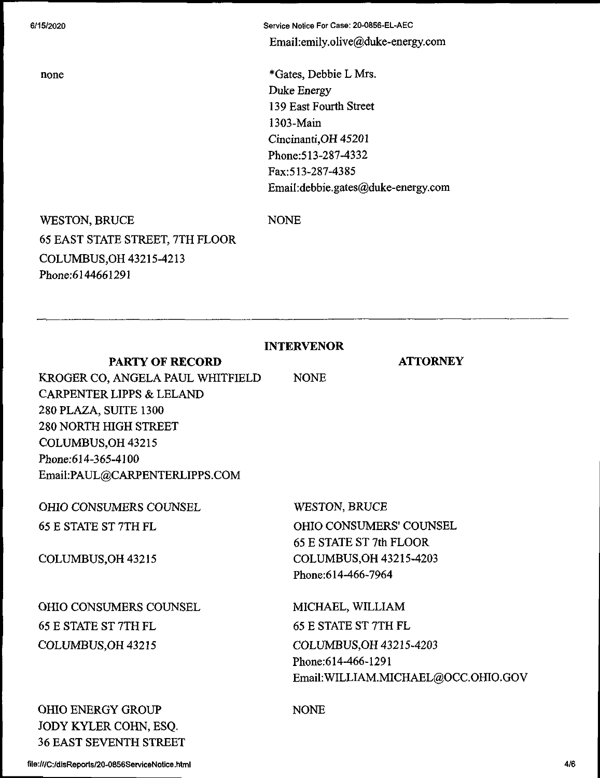none

Service Notice For Case: 20-0856-EL-AEC Email:emiIy.olive@duke-energy.com

\*Gates, Debbie L Mrs. Duke Energy 139 East Fourth Street 1303-Main Cincinanti,OH 45201 Phone:513-287-4332 Fax:513-287-4385 EmaiI:debbie.gates@duke-energy.com

WESTON, BRUCE 65 EAST STATE STREET, 7TH FLOOR COLUMBUS,OH 43215-4213 Phone;6144661291

NONE

**INTERVENOR**

NONE

**ATTORNEY**

KROGER CO, ANGELA PAUL WHITFIELD CARPENTER LIPPS & LELAND 280 PLAZA, SUITE 1300 280 NORTH HIGH STREET COLUMBUS,OH 43215 Phone;614-365-4100 Email:PAUL@CARPENTERLIPPS.COM

**PARTY OF RECORD**

OHIO CONSUMERS COUNSEL 65 E STATE ST 7TH FL COLUMBUS,OH 43215 OHIO CONSUMERS COUNSEL 65 E STATE ST 7TH FL COLUMBUS,OH 43215 WESTON, BRUCE OHIO CONSUMERS' COUNSEL 65 E STATE ST 7th FLOOR COLUMBUS,OH 43215-4203 Phone:614-466-7964 MICHAEL, WILLIAM 65 E STATE ST 7TH FL COLUMBUS,OH 43215-4203 Phone:614-466-1291 Email:WILLIAM.MICHAEL@OCC.OHIO.GOV

OHIO ENERGY GROUP JODY KYLER COHN, ESQ. 36 EAST SEVENTH STREET NONE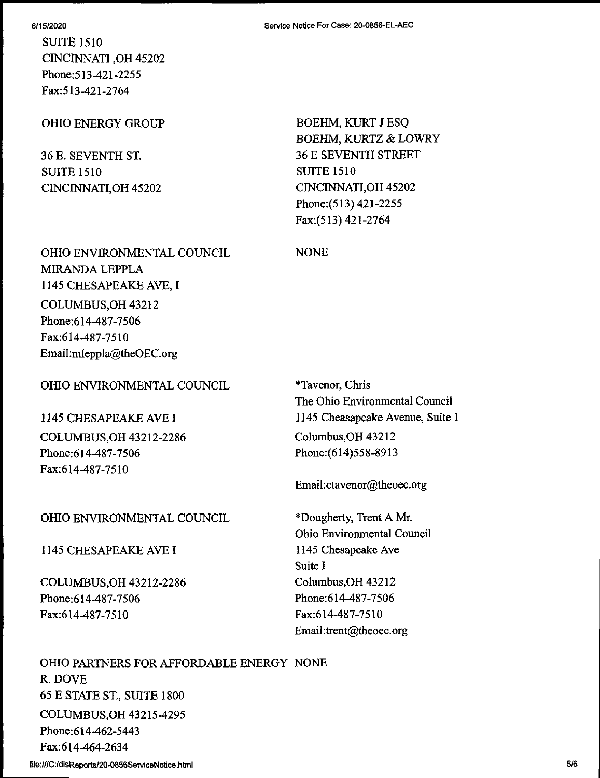SUITE 1510 CINCINNATI ,OH 45202 Phone;5I3-421-2255 Fax:513-421-2764

## OHIO ENERGY GROUP

36 E. SEVENTH ST. SUITE 1510 CINCINNATI,0H 45202 BOEHM, KURT J ESQ BOEHM, KURTZ & LOWRY 36 E SEVENTH STREET SUITE 1510 CINCINNATI,OH 45202 Phone:(513) 421-2255 Fax:(513) 421-2764

OHIO ENVIRONMENTAL COUNCIL MIRANDA LEPPLA 1145 CHESAPEAKE AVE, I COLUMBUS,OH 43212 Phone;614-487-7506 Fax:614-487-7510 Email:mleppla@theOEC.org

## OHIO ENVIRONMENTAL COUNCIL

## 1145 CHESAPEAKE AVE I

COLUMBUS,OH 43212-2286 Phone:614-487-7506 Fax:614-487-7510

## OHIO ENVIRONMENTAL COUNCIL

1145 CHESAPEAKE AVE I

COLUMBUS,OH 43212-2286 Phone:614-487-7506 Fax:614-487-7510

\*Tavenor, Chris The Ohio Environmental Council 1145 Cheasapeake Avenue, Suite <sup>1</sup> Columbus,OH 43212 Phone:(614)558-8913

Email:ctavenor@theoec.org

\*Dougherty, Trent A Mr. Ohio Environmental Council 1145 Chesapeake Ave Suite I Columbus,OH 43212 Phone:614-487-7506 Fax:614-487-7510 EmaiI:trent@theoec.org

OHIO PARTNERS FOR AFFORDABLE ENERGY NONE R. DOVE 65 E STATE ST, SUITE 1800 COLUMBUS,OH 43215-4295 Phone:614-462-5443 Fax:614-464-2634

#### **Service Notice For Case: 20-0856-EL-AEC**

NONE